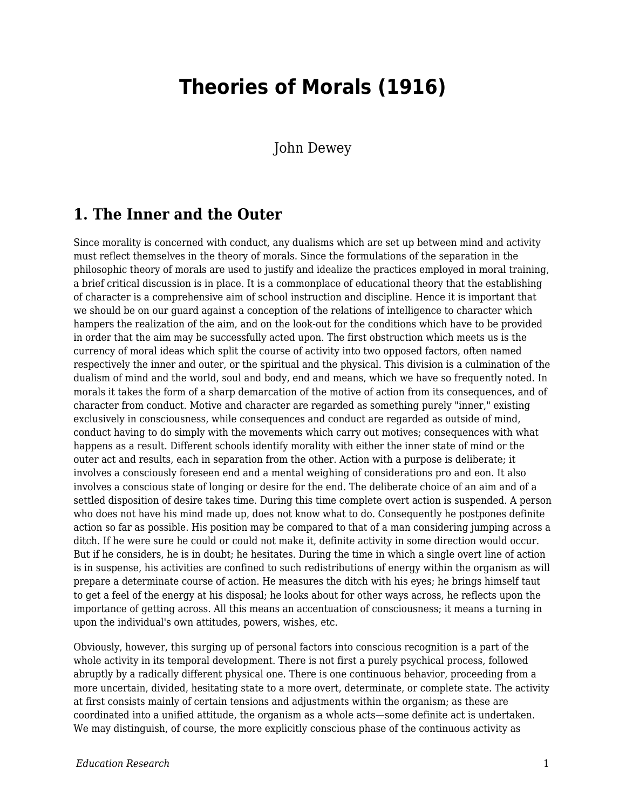# **Theories of Morals (1916)**

John Dewey

#### **1. The Inner and the Outer**

Since morality is concerned with conduct, any dualisms which are set up between mind and activity must reflect themselves in the theory of morals. Since the formulations of the separation in the philosophic theory of morals are used to justify and idealize the practices employed in moral training, a brief critical discussion is in place. It is a commonplace of educational theory that the establishing of character is a comprehensive aim of school instruction and discipline. Hence it is important that we should be on our guard against a conception of the relations of intelligence to character which hampers the realization of the aim, and on the look-out for the conditions which have to be provided in order that the aim may be successfully acted upon. The first obstruction which meets us is the currency of moral ideas which split the course of activity into two opposed factors, often named respectively the inner and outer, or the spiritual and the physical. This division is a culmination of the dualism of mind and the world, soul and body, end and means, which we have so frequently noted. In morals it takes the form of a sharp demarcation of the motive of action from its consequences, and of character from conduct. Motive and character are regarded as something purely "inner," existing exclusively in consciousness, while consequences and conduct are regarded as outside of mind, conduct having to do simply with the movements which carry out motives; consequences with what happens as a result. Different schools identify morality with either the inner state of mind or the outer act and results, each in separation from the other. Action with a purpose is deliberate; it involves a consciously foreseen end and a mental weighing of considerations pro and eon. It also involves a conscious state of longing or desire for the end. The deliberate choice of an aim and of a settled disposition of desire takes time. During this time complete overt action is suspended. A person who does not have his mind made up, does not know what to do. Consequently he postpones definite action so far as possible. His position may be compared to that of a man considering jumping across a ditch. If he were sure he could or could not make it, definite activity in some direction would occur. But if he considers, he is in doubt; he hesitates. During the time in which a single overt line of action is in suspense, his activities are confined to such redistributions of energy within the organism as will prepare a determinate course of action. He measures the ditch with his eyes; he brings himself taut to get a feel of the energy at his disposal; he looks about for other ways across, he reflects upon the importance of getting across. All this means an accentuation of consciousness; it means a turning in upon the individual's own attitudes, powers, wishes, etc.

Obviously, however, this surging up of personal factors into conscious recognition is a part of the whole activity in its temporal development. There is not first a purely psychical process, followed abruptly by a radically different physical one. There is one continuous behavior, proceeding from a more uncertain, divided, hesitating state to a more overt, determinate, or complete state. The activity at first consists mainly of certain tensions and adjustments within the organism; as these are coordinated into a unified attitude, the organism as a whole acts—some definite act is undertaken. We may distinguish, of course, the more explicitly conscious phase of the continuous activity as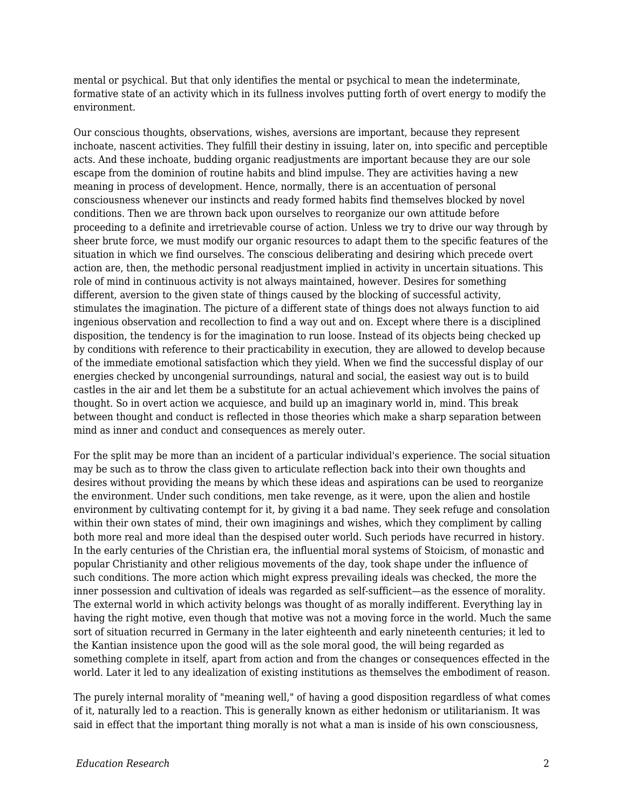mental or psychical. But that only identifies the mental or psychical to mean the indeterminate, formative state of an activity which in its fullness involves putting forth of overt energy to modify the environment.

Our conscious thoughts, observations, wishes, aversions are important, because they represent inchoate, nascent activities. They fulfill their destiny in issuing, later on, into specific and perceptible acts. And these inchoate, budding organic readjustments are important because they are our sole escape from the dominion of routine habits and blind impulse. They are activities having a new meaning in process of development. Hence, normally, there is an accentuation of personal consciousness whenever our instincts and ready formed habits find themselves blocked by novel conditions. Then we are thrown back upon ourselves to reorganize our own attitude before proceeding to a definite and irretrievable course of action. Unless we try to drive our way through by sheer brute force, we must modify our organic resources to adapt them to the specific features of the situation in which we find ourselves. The conscious deliberating and desiring which precede overt action are, then, the methodic personal readjustment implied in activity in uncertain situations. This role of mind in continuous activity is not always maintained, however. Desires for something different, aversion to the given state of things caused by the blocking of successful activity, stimulates the imagination. The picture of a different state of things does not always function to aid ingenious observation and recollection to find a way out and on. Except where there is a disciplined disposition, the tendency is for the imagination to run loose. Instead of its objects being checked up by conditions with reference to their practicability in execution, they are allowed to develop because of the immediate emotional satisfaction which they yield. When we find the successful display of our energies checked by uncongenial surroundings, natural and social, the easiest way out is to build castles in the air and let them be a substitute for an actual achievement which involves the pains of thought. So in overt action we acquiesce, and build up an imaginary world in, mind. This break between thought and conduct is reflected in those theories which make a sharp separation between mind as inner and conduct and consequences as merely outer.

For the split may be more than an incident of a particular individual's experience. The social situation may be such as to throw the class given to articulate reflection back into their own thoughts and desires without providing the means by which these ideas and aspirations can be used to reorganize the environment. Under such conditions, men take revenge, as it were, upon the alien and hostile environment by cultivating contempt for it, by giving it a bad name. They seek refuge and consolation within their own states of mind, their own imaginings and wishes, which they compliment by calling both more real and more ideal than the despised outer world. Such periods have recurred in history. In the early centuries of the Christian era, the influential moral systems of Stoicism, of monastic and popular Christianity and other religious movements of the day, took shape under the influence of such conditions. The more action which might express prevailing ideals was checked, the more the inner possession and cultivation of ideals was regarded as self-sufficient—as the essence of morality. The external world in which activity belongs was thought of as morally indifferent. Everything lay in having the right motive, even though that motive was not a moving force in the world. Much the same sort of situation recurred in Germany in the later eighteenth and early nineteenth centuries; it led to the Kantian insistence upon the good will as the sole moral good, the will being regarded as something complete in itself, apart from action and from the changes or consequences effected in the world. Later it led to any idealization of existing institutions as themselves the embodiment of reason.

The purely internal morality of "meaning well," of having a good disposition regardless of what comes of it, naturally led to a reaction. This is generally known as either hedonism or utilitarianism. It was said in effect that the important thing morally is not what a man is inside of his own consciousness,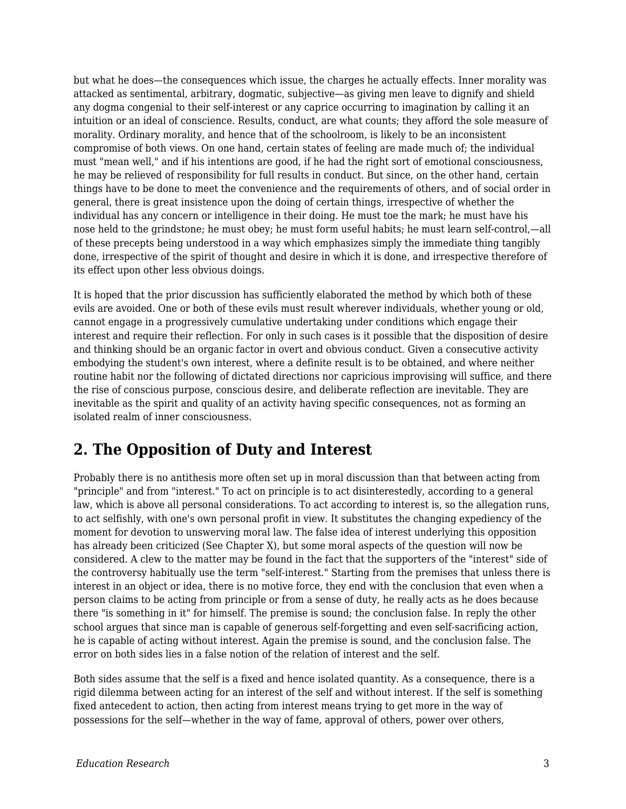but what he does—the consequences which issue, the charges he actually effects. Inner morality was attacked as sentimental, arbitrary, dogmatic, subjective—as giving men leave to dignify and shield any dogma congenial to their self-interest or any caprice occurring to imagination by calling it an intuition or an ideal of conscience. Results, conduct, are what counts; they afford the sole measure of morality. Ordinary morality, and hence that of the schoolroom, is likely to be an inconsistent compromise of both views. On one hand, certain states of feeling are made much of; the individual must "mean well," and if his intentions are good, if he had the right sort of emotional consciousness, he may be relieved of responsibility for full results in conduct. But since, on the other hand, certain things have to be done to meet the convenience and the requirements of others, and of social order in general, there is great insistence upon the doing of certain things, irrespective of whether the individual has any concern or intelligence in their doing. He must toe the mark; he must have his nose held to the grindstone; he must obey; he must form useful habits; he must learn self-control,—all of these precepts being understood in a way which emphasizes simply the immediate thing tangibly done, irrespective of the spirit of thought and desire in which it is done, and irrespective therefore of its effect upon other less obvious doings.

It is hoped that the prior discussion has sufficiently elaborated the method by which both of these evils are avoided. One or both of these evils must result wherever individuals, whether young or old, cannot engage in a progressively cumulative undertaking under conditions which engage their interest and require their reflection. For only in such cases is it possible that the disposition of desire and thinking should be an organic factor in overt and obvious conduct. Given a consecutive activity embodying the student's own interest, where a definite result is to be obtained, and where neither routine habit nor the following of dictated directions nor capricious improvising will suffice, and there the rise of conscious purpose, conscious desire, and deliberate reflection are inevitable. They are inevitable as the spirit and quality of an activity having specific consequences, not as forming an isolated realm of inner consciousness.

## **2. The Opposition of Duty and Interest**

Probably there is no antithesis more often set up in moral discussion than that between acting from "principle" and from "interest." To act on principle is to act disinterestedly, according to a general law, which is above all personal considerations. To act according to interest is, so the allegation runs, to act selfishly, with one's own personal profit in view. It substitutes the changing expediency of the moment for devotion to unswerving moral law. The false idea of interest underlying this opposition has already been criticized (See Chapter X), but some moral aspects of the question will now be considered. A clew to the matter may be found in the fact that the supporters of the "interest" side of the controversy habitually use the term "self-interest." Starting from the premises that unless there is interest in an object or idea, there is no motive force, they end with the conclusion that even when a person claims to be acting from principle or from a sense of duty, he really acts as he does because there "is something in it" for himself. The premise is sound; the conclusion false. In reply the other school argues that since man is capable of generous self-forgetting and even self-sacrificing action, he is capable of acting without interest. Again the premise is sound, and the conclusion false. The error on both sides lies in a false notion of the relation of interest and the self.

Both sides assume that the self is a fixed and hence isolated quantity. As a consequence, there is a rigid dilemma between acting for an interest of the self and without interest. If the self is something fixed antecedent to action, then acting from interest means trying to get more in the way of possessions for the self—whether in the way of fame, approval of others, power over others,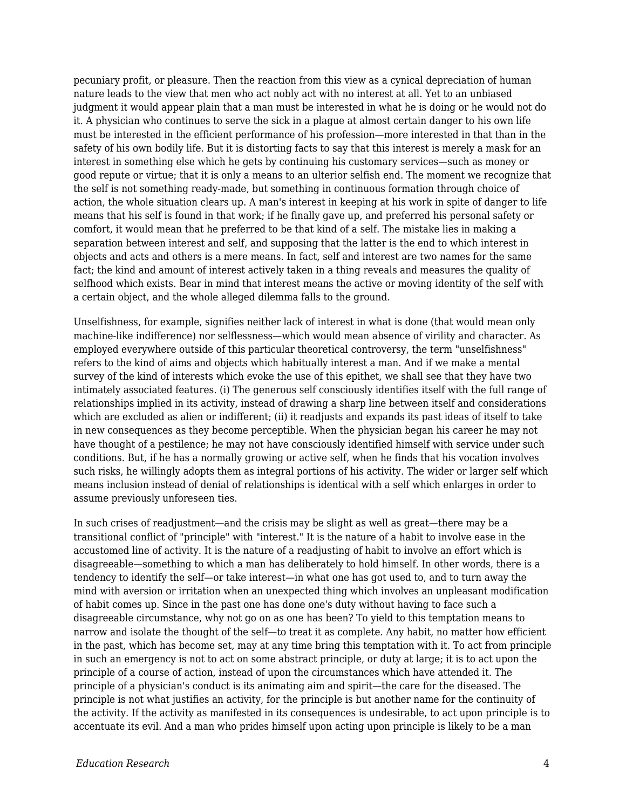pecuniary profit, or pleasure. Then the reaction from this view as a cynical depreciation of human nature leads to the view that men who act nobly act with no interest at all. Yet to an unbiased judgment it would appear plain that a man must be interested in what he is doing or he would not do it. A physician who continues to serve the sick in a plague at almost certain danger to his own life must be interested in the efficient performance of his profession—more interested in that than in the safety of his own bodily life. But it is distorting facts to say that this interest is merely a mask for an interest in something else which he gets by continuing his customary services—such as money or good repute or virtue; that it is only a means to an ulterior selfish end. The moment we recognize that the self is not something ready-made, but something in continuous formation through choice of action, the whole situation clears up. A man's interest in keeping at his work in spite of danger to life means that his self is found in that work; if he finally gave up, and preferred his personal safety or comfort, it would mean that he preferred to be that kind of a self. The mistake lies in making a separation between interest and self, and supposing that the latter is the end to which interest in objects and acts and others is a mere means. In fact, self and interest are two names for the same fact; the kind and amount of interest actively taken in a thing reveals and measures the quality of selfhood which exists. Bear in mind that interest means the active or moving identity of the self with a certain object, and the whole alleged dilemma falls to the ground.

Unselfishness, for example, signifies neither lack of interest in what is done (that would mean only machine-like indifference) nor selflessness—which would mean absence of virility and character. As employed everywhere outside of this particular theoretical controversy, the term "unselfishness" refers to the kind of aims and objects which habitually interest a man. And if we make a mental survey of the kind of interests which evoke the use of this epithet, we shall see that they have two intimately associated features. (i) The generous self consciously identifies itself with the full range of relationships implied in its activity, instead of drawing a sharp line between itself and considerations which are excluded as alien or indifferent; (ii) it readjusts and expands its past ideas of itself to take in new consequences as they become perceptible. When the physician began his career he may not have thought of a pestilence; he may not have consciously identified himself with service under such conditions. But, if he has a normally growing or active self, when he finds that his vocation involves such risks, he willingly adopts them as integral portions of his activity. The wider or larger self which means inclusion instead of denial of relationships is identical with a self which enlarges in order to assume previously unforeseen ties.

In such crises of readjustment—and the crisis may be slight as well as great—there may be a transitional conflict of "principle" with "interest." It is the nature of a habit to involve ease in the accustomed line of activity. It is the nature of a readjusting of habit to involve an effort which is disagreeable—something to which a man has deliberately to hold himself. In other words, there is a tendency to identify the self—or take interest—in what one has got used to, and to turn away the mind with aversion or irritation when an unexpected thing which involves an unpleasant modification of habit comes up. Since in the past one has done one's duty without having to face such a disagreeable circumstance, why not go on as one has been? To yield to this temptation means to narrow and isolate the thought of the self—to treat it as complete. Any habit, no matter how efficient in the past, which has become set, may at any time bring this temptation with it. To act from principle in such an emergency is not to act on some abstract principle, or duty at large; it is to act upon the principle of a course of action, instead of upon the circumstances which have attended it. The principle of a physician's conduct is its animating aim and spirit—the care for the diseased. The principle is not what justifies an activity, for the principle is but another name for the continuity of the activity. If the activity as manifested in its consequences is undesirable, to act upon principle is to accentuate its evil. And a man who prides himself upon acting upon principle is likely to be a man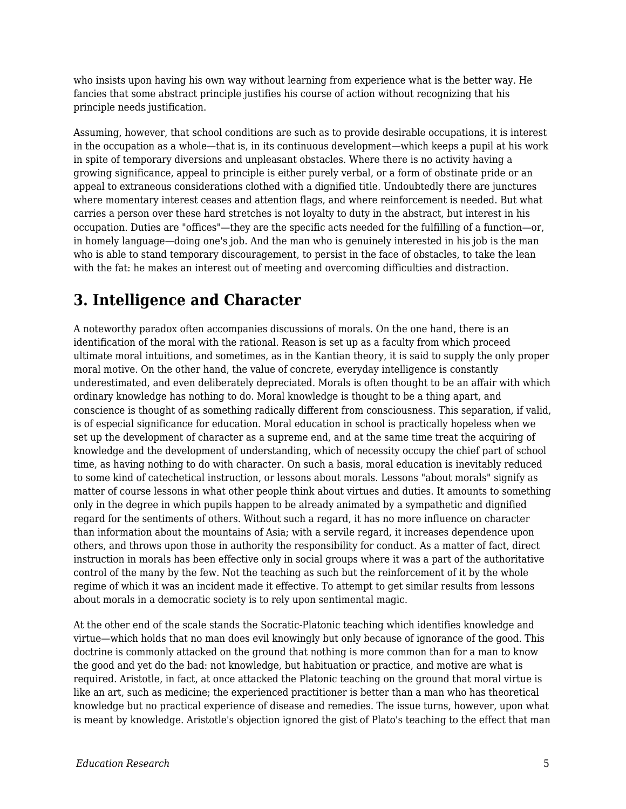who insists upon having his own way without learning from experience what is the better way. He fancies that some abstract principle justifies his course of action without recognizing that his principle needs justification.

Assuming, however, that school conditions are such as to provide desirable occupations, it is interest in the occupation as a whole—that is, in its continuous development—which keeps a pupil at his work in spite of temporary diversions and unpleasant obstacles. Where there is no activity having a growing significance, appeal to principle is either purely verbal, or a form of obstinate pride or an appeal to extraneous considerations clothed with a dignified title. Undoubtedly there are junctures where momentary interest ceases and attention flags, and where reinforcement is needed. But what carries a person over these hard stretches is not loyalty to duty in the abstract, but interest in his occupation. Duties are "offices"—they are the specific acts needed for the fulfilling of a function—or, in homely language—doing one's job. And the man who is genuinely interested in his job is the man who is able to stand temporary discouragement, to persist in the face of obstacles, to take the lean with the fat: he makes an interest out of meeting and overcoming difficulties and distraction.

# **3. Intelligence and Character**

A noteworthy paradox often accompanies discussions of morals. On the one hand, there is an identification of the moral with the rational. Reason is set up as a faculty from which proceed ultimate moral intuitions, and sometimes, as in the Kantian theory, it is said to supply the only proper moral motive. On the other hand, the value of concrete, everyday intelligence is constantly underestimated, and even deliberately depreciated. Morals is often thought to be an affair with which ordinary knowledge has nothing to do. Moral knowledge is thought to be a thing apart, and conscience is thought of as something radically different from consciousness. This separation, if valid, is of especial significance for education. Moral education in school is practically hopeless when we set up the development of character as a supreme end, and at the same time treat the acquiring of knowledge and the development of understanding, which of necessity occupy the chief part of school time, as having nothing to do with character. On such a basis, moral education is inevitably reduced to some kind of catechetical instruction, or lessons about morals. Lessons "about morals" signify as matter of course lessons in what other people think about virtues and duties. It amounts to something only in the degree in which pupils happen to be already animated by a sympathetic and dignified regard for the sentiments of others. Without such a regard, it has no more influence on character than information about the mountains of Asia; with a servile regard, it increases dependence upon others, and throws upon those in authority the responsibility for conduct. As a matter of fact, direct instruction in morals has been effective only in social groups where it was a part of the authoritative control of the many by the few. Not the teaching as such but the reinforcement of it by the whole regime of which it was an incident made it effective. To attempt to get similar results from lessons about morals in a democratic society is to rely upon sentimental magic.

At the other end of the scale stands the Socratic-Platonic teaching which identifies knowledge and virtue—which holds that no man does evil knowingly but only because of ignorance of the good. This doctrine is commonly attacked on the ground that nothing is more common than for a man to know the good and yet do the bad: not knowledge, but habituation or practice, and motive are what is required. Aristotle, in fact, at once attacked the Platonic teaching on the ground that moral virtue is like an art, such as medicine; the experienced practitioner is better than a man who has theoretical knowledge but no practical experience of disease and remedies. The issue turns, however, upon what is meant by knowledge. Aristotle's objection ignored the gist of Plato's teaching to the effect that man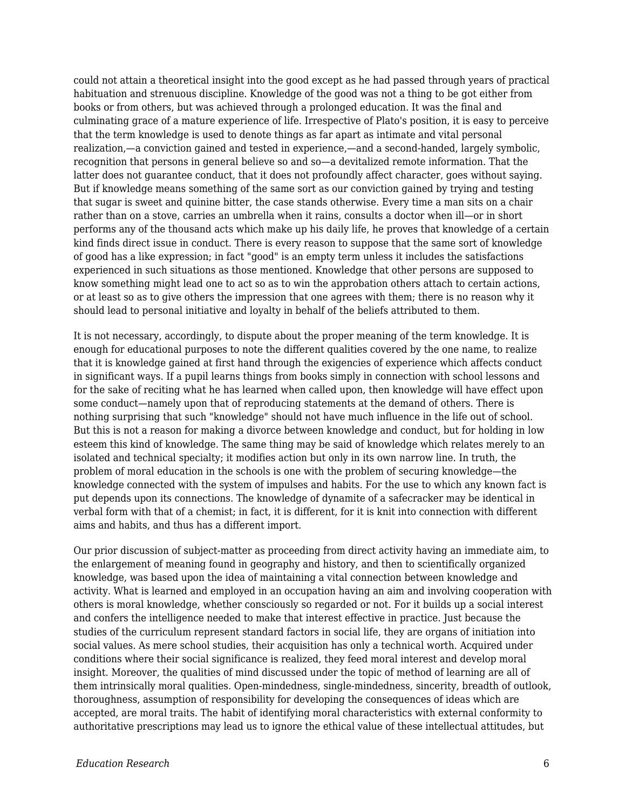could not attain a theoretical insight into the good except as he had passed through years of practical habituation and strenuous discipline. Knowledge of the good was not a thing to be got either from books or from others, but was achieved through a prolonged education. It was the final and culminating grace of a mature experience of life. Irrespective of Plato's position, it is easy to perceive that the term knowledge is used to denote things as far apart as intimate and vital personal realization,—a conviction gained and tested in experience,—and a second-handed, largely symbolic, recognition that persons in general believe so and so—a devitalized remote information. That the latter does not guarantee conduct, that it does not profoundly affect character, goes without saying. But if knowledge means something of the same sort as our conviction gained by trying and testing that sugar is sweet and quinine bitter, the case stands otherwise. Every time a man sits on a chair rather than on a stove, carries an umbrella when it rains, consults a doctor when ill—or in short performs any of the thousand acts which make up his daily life, he proves that knowledge of a certain kind finds direct issue in conduct. There is every reason to suppose that the same sort of knowledge of good has a like expression; in fact "good" is an empty term unless it includes the satisfactions experienced in such situations as those mentioned. Knowledge that other persons are supposed to know something might lead one to act so as to win the approbation others attach to certain actions, or at least so as to give others the impression that one agrees with them; there is no reason why it should lead to personal initiative and loyalty in behalf of the beliefs attributed to them.

It is not necessary, accordingly, to dispute about the proper meaning of the term knowledge. It is enough for educational purposes to note the different qualities covered by the one name, to realize that it is knowledge gained at first hand through the exigencies of experience which affects conduct in significant ways. If a pupil learns things from books simply in connection with school lessons and for the sake of reciting what he has learned when called upon, then knowledge will have effect upon some conduct—namely upon that of reproducing statements at the demand of others. There is nothing surprising that such "knowledge" should not have much influence in the life out of school. But this is not a reason for making a divorce between knowledge and conduct, but for holding in low esteem this kind of knowledge. The same thing may be said of knowledge which relates merely to an isolated and technical specialty; it modifies action but only in its own narrow line. In truth, the problem of moral education in the schools is one with the problem of securing knowledge—the knowledge connected with the system of impulses and habits. For the use to which any known fact is put depends upon its connections. The knowledge of dynamite of a safecracker may be identical in verbal form with that of a chemist; in fact, it is different, for it is knit into connection with different aims and habits, and thus has a different import.

Our prior discussion of subject-matter as proceeding from direct activity having an immediate aim, to the enlargement of meaning found in geography and history, and then to scientifically organized knowledge, was based upon the idea of maintaining a vital connection between knowledge and activity. What is learned and employed in an occupation having an aim and involving cooperation with others is moral knowledge, whether consciously so regarded or not. For it builds up a social interest and confers the intelligence needed to make that interest effective in practice. Just because the studies of the curriculum represent standard factors in social life, they are organs of initiation into social values. As mere school studies, their acquisition has only a technical worth. Acquired under conditions where their social significance is realized, they feed moral interest and develop moral insight. Moreover, the qualities of mind discussed under the topic of method of learning are all of them intrinsically moral qualities. Open-mindedness, single-mindedness, sincerity, breadth of outlook, thoroughness, assumption of responsibility for developing the consequences of ideas which are accepted, are moral traits. The habit of identifying moral characteristics with external conformity to authoritative prescriptions may lead us to ignore the ethical value of these intellectual attitudes, but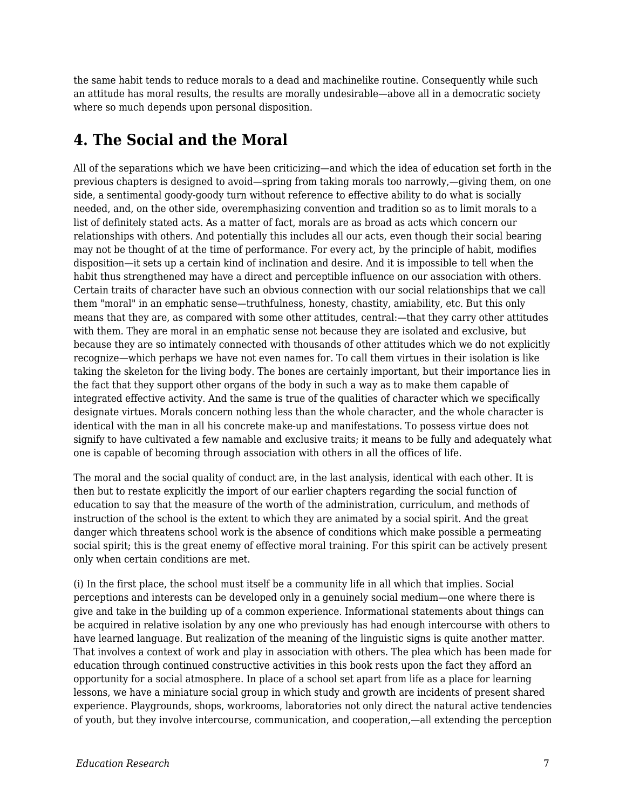the same habit tends to reduce morals to a dead and machinelike routine. Consequently while such an attitude has moral results, the results are morally undesirable—above all in a democratic society where so much depends upon personal disposition.

## **4. The Social and the Moral**

All of the separations which we have been criticizing—and which the idea of education set forth in the previous chapters is designed to avoid—spring from taking morals too narrowly,—giving them, on one side, a sentimental goody-goody turn without reference to effective ability to do what is socially needed, and, on the other side, overemphasizing convention and tradition so as to limit morals to a list of definitely stated acts. As a matter of fact, morals are as broad as acts which concern our relationships with others. And potentially this includes all our acts, even though their social bearing may not be thought of at the time of performance. For every act, by the principle of habit, modifies disposition—it sets up a certain kind of inclination and desire. And it is impossible to tell when the habit thus strengthened may have a direct and perceptible influence on our association with others. Certain traits of character have such an obvious connection with our social relationships that we call them "moral" in an emphatic sense—truthfulness, honesty, chastity, amiability, etc. But this only means that they are, as compared with some other attitudes, central:—that they carry other attitudes with them. They are moral in an emphatic sense not because they are isolated and exclusive, but because they are so intimately connected with thousands of other attitudes which we do not explicitly recognize—which perhaps we have not even names for. To call them virtues in their isolation is like taking the skeleton for the living body. The bones are certainly important, but their importance lies in the fact that they support other organs of the body in such a way as to make them capable of integrated effective activity. And the same is true of the qualities of character which we specifically designate virtues. Morals concern nothing less than the whole character, and the whole character is identical with the man in all his concrete make-up and manifestations. To possess virtue does not signify to have cultivated a few namable and exclusive traits; it means to be fully and adequately what one is capable of becoming through association with others in all the offices of life.

The moral and the social quality of conduct are, in the last analysis, identical with each other. It is then but to restate explicitly the import of our earlier chapters regarding the social function of education to say that the measure of the worth of the administration, curriculum, and methods of instruction of the school is the extent to which they are animated by a social spirit. And the great danger which threatens school work is the absence of conditions which make possible a permeating social spirit; this is the great enemy of effective moral training. For this spirit can be actively present only when certain conditions are met.

(i) In the first place, the school must itself be a community life in all which that implies. Social perceptions and interests can be developed only in a genuinely social medium—one where there is give and take in the building up of a common experience. Informational statements about things can be acquired in relative isolation by any one who previously has had enough intercourse with others to have learned language. But realization of the meaning of the linguistic signs is quite another matter. That involves a context of work and play in association with others. The plea which has been made for education through continued constructive activities in this book rests upon the fact they afford an opportunity for a social atmosphere. In place of a school set apart from life as a place for learning lessons, we have a miniature social group in which study and growth are incidents of present shared experience. Playgrounds, shops, workrooms, laboratories not only direct the natural active tendencies of youth, but they involve intercourse, communication, and cooperation,—all extending the perception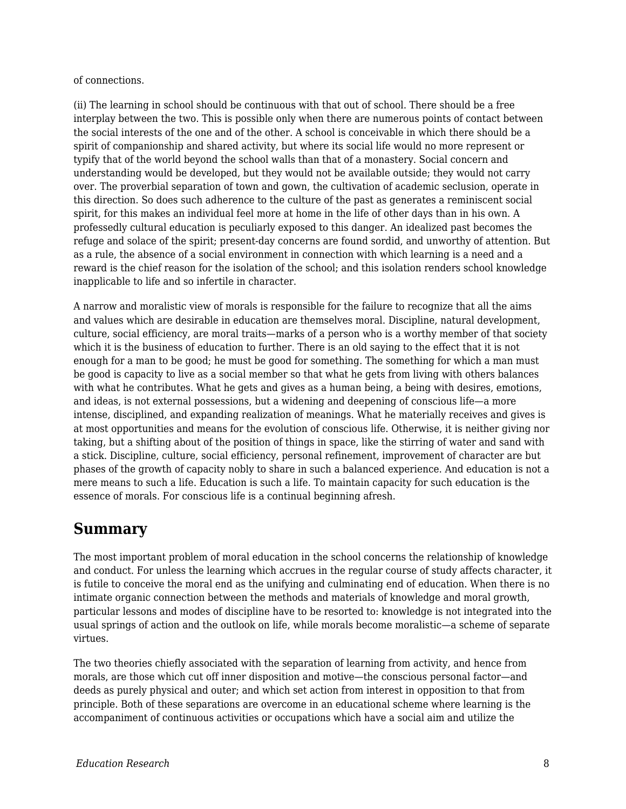of connections.

(ii) The learning in school should be continuous with that out of school. There should be a free interplay between the two. This is possible only when there are numerous points of contact between the social interests of the one and of the other. A school is conceivable in which there should be a spirit of companionship and shared activity, but where its social life would no more represent or typify that of the world beyond the school walls than that of a monastery. Social concern and understanding would be developed, but they would not be available outside; they would not carry over. The proverbial separation of town and gown, the cultivation of academic seclusion, operate in this direction. So does such adherence to the culture of the past as generates a reminiscent social spirit, for this makes an individual feel more at home in the life of other days than in his own. A professedly cultural education is peculiarly exposed to this danger. An idealized past becomes the refuge and solace of the spirit; present-day concerns are found sordid, and unworthy of attention. But as a rule, the absence of a social environment in connection with which learning is a need and a reward is the chief reason for the isolation of the school; and this isolation renders school knowledge inapplicable to life and so infertile in character.

A narrow and moralistic view of morals is responsible for the failure to recognize that all the aims and values which are desirable in education are themselves moral. Discipline, natural development, culture, social efficiency, are moral traits—marks of a person who is a worthy member of that society which it is the business of education to further. There is an old saying to the effect that it is not enough for a man to be good; he must be good for something. The something for which a man must be good is capacity to live as a social member so that what he gets from living with others balances with what he contributes. What he gets and gives as a human being, a being with desires, emotions, and ideas, is not external possessions, but a widening and deepening of conscious life—a more intense, disciplined, and expanding realization of meanings. What he materially receives and gives is at most opportunities and means for the evolution of conscious life. Otherwise, it is neither giving nor taking, but a shifting about of the position of things in space, like the stirring of water and sand with a stick. Discipline, culture, social efficiency, personal refinement, improvement of character are but phases of the growth of capacity nobly to share in such a balanced experience. And education is not a mere means to such a life. Education is such a life. To maintain capacity for such education is the essence of morals. For conscious life is a continual beginning afresh.

### **Summary**

The most important problem of moral education in the school concerns the relationship of knowledge and conduct. For unless the learning which accrues in the regular course of study affects character, it is futile to conceive the moral end as the unifying and culminating end of education. When there is no intimate organic connection between the methods and materials of knowledge and moral growth, particular lessons and modes of discipline have to be resorted to: knowledge is not integrated into the usual springs of action and the outlook on life, while morals become moralistic—a scheme of separate virtues.

The two theories chiefly associated with the separation of learning from activity, and hence from morals, are those which cut off inner disposition and motive—the conscious personal factor—and deeds as purely physical and outer; and which set action from interest in opposition to that from principle. Both of these separations are overcome in an educational scheme where learning is the accompaniment of continuous activities or occupations which have a social aim and utilize the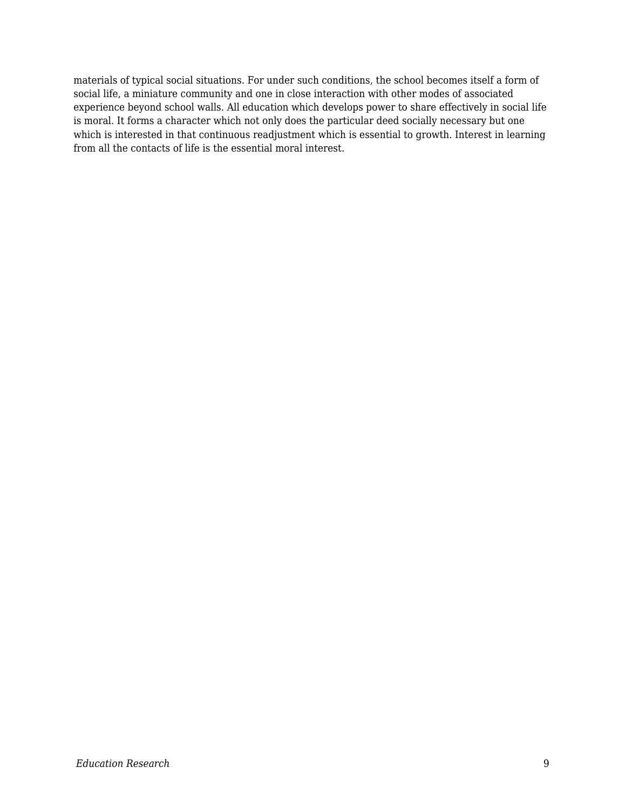materials of typical social situations. For under such conditions, the school becomes itself a form of social life, a miniature community and one in close interaction with other modes of associated experience beyond school walls. All education which develops power to share effectively in social life is moral. It forms a character which not only does the particular deed socially necessary but one which is interested in that continuous readjustment which is essential to growth. Interest in learning from all the contacts of life is the essential moral interest.